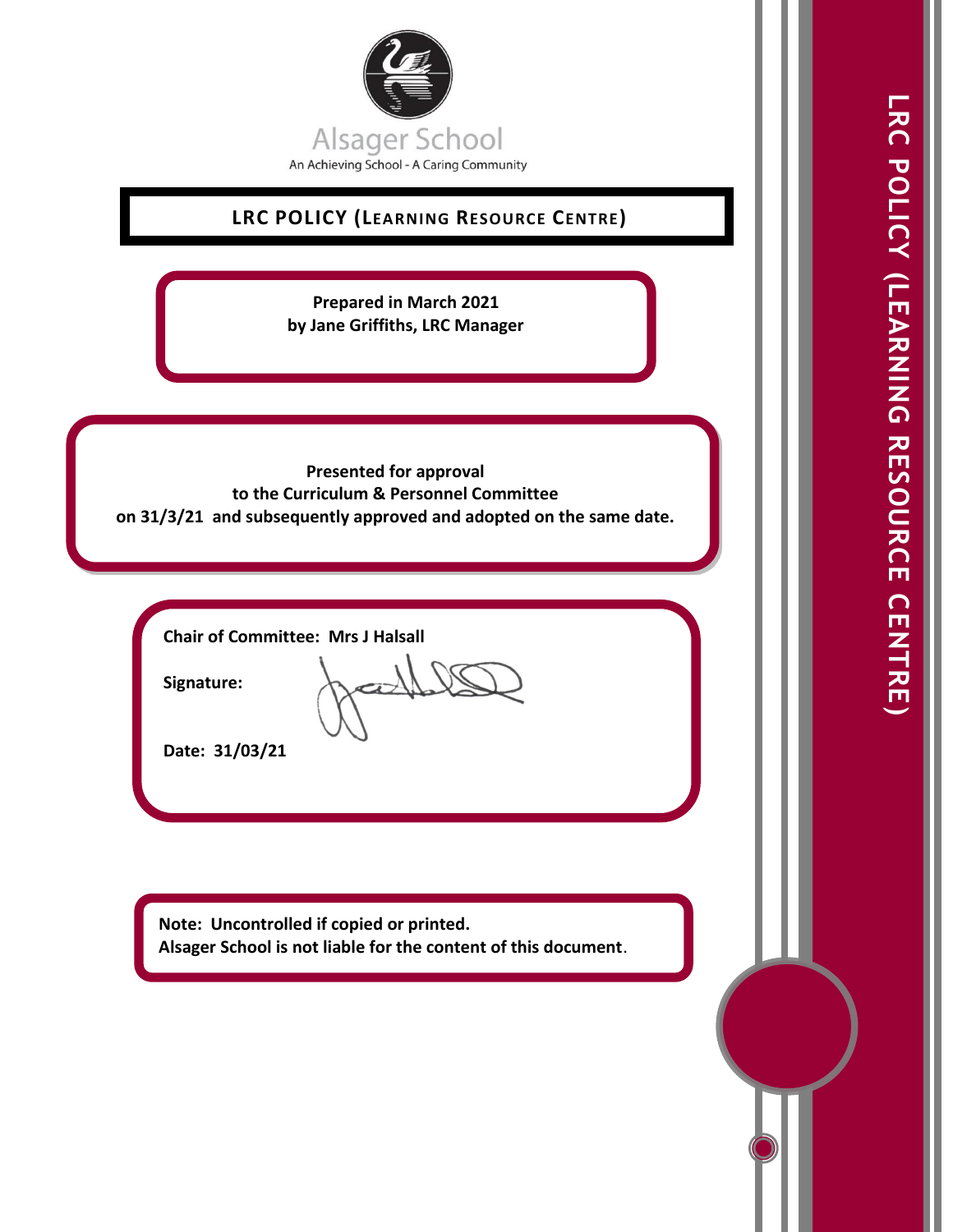

# **LRC POLICY (LEARNING RESOURCE CENTRE)**

**Prepared in March 2021 by Jane Griffiths, LRC Manager**

## **Presented for approval to the Curriculum & Personnel Committee on 31/3/21 and subsequently approved and adopted on the same date.**

**Chair of Committee: Mrs J Halsall**

**Signature:** 

**Date: 31/03/21**

**Note: Uncontrolled if copied or printed. Alsager School is not liable for the content of this document**.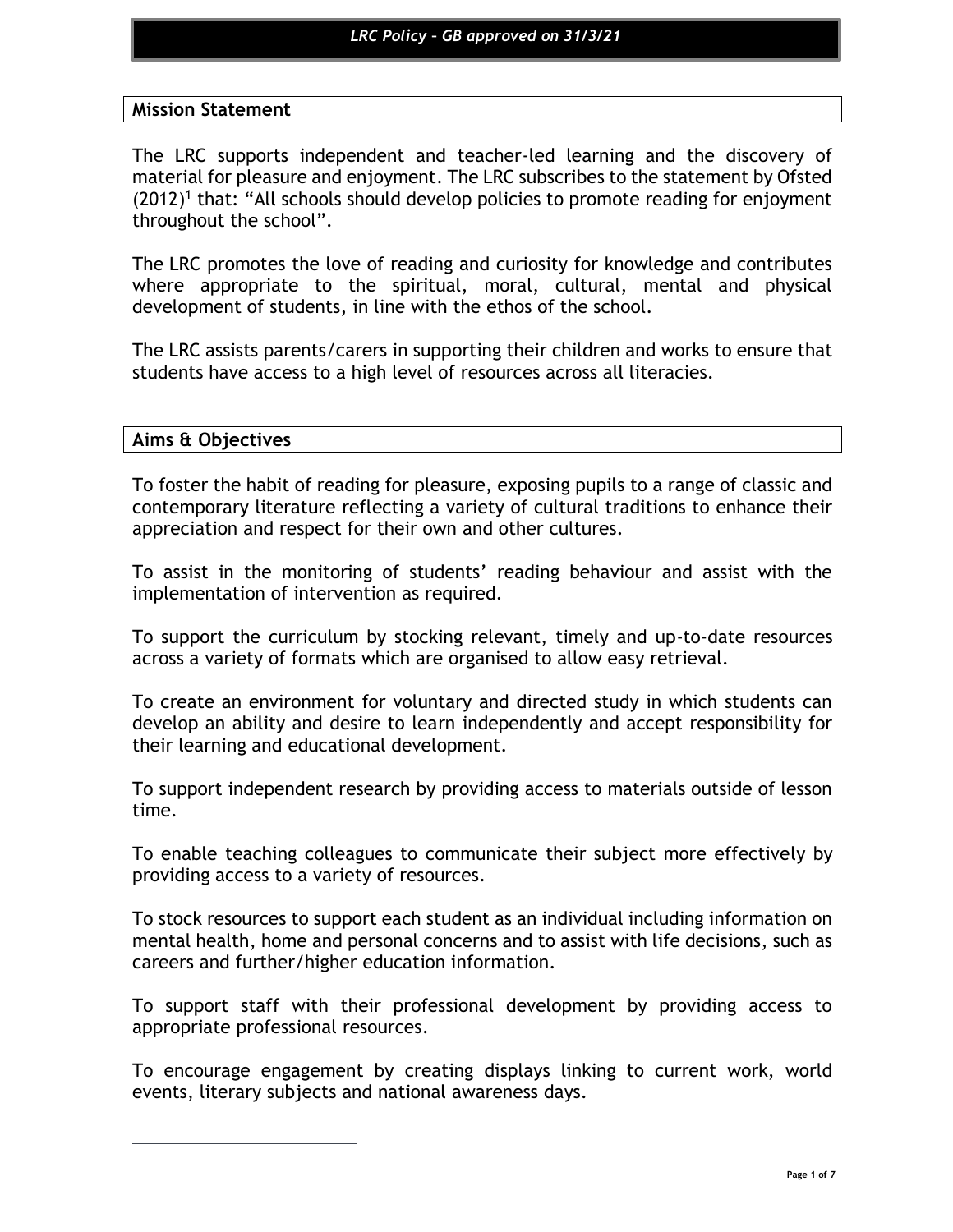## **Mission Statement**

The LRC supports independent and teacher-led learning and the discovery of material for pleasure and enjoyment. The LRC subscribes to the statement by Ofsted  $(2012)^1$  that: "All schools should develop policies to promote reading for enjoyment throughout the school".

The LRC promotes the love of reading and curiosity for knowledge and contributes where appropriate to the spiritual, moral, cultural, mental and physical development of students, in line with the ethos of the school.

The LRC assists parents/carers in supporting their children and works to ensure that students have access to a high level of resources across all literacies.

## **Aims & Objectives**

To foster the habit of reading for pleasure, exposing pupils to a range of classic and contemporary literature reflecting a variety of cultural traditions to enhance their appreciation and respect for their own and other cultures.

To assist in the monitoring of students' reading behaviour and assist with the implementation of intervention as required.

To support the curriculum by stocking relevant, timely and up-to-date resources across a variety of formats which are organised to allow easy retrieval.

To create an environment for voluntary and directed study in which students can develop an ability and desire to learn independently and accept responsibility for their learning and educational development.

To support independent research by providing access to materials outside of lesson time.

To enable teaching colleagues to communicate their subject more effectively by providing access to a variety of resources.

To stock resources to support each student as an individual including information on mental health, home and personal concerns and to assist with life decisions, such as careers and further/higher education information.

To support staff with their professional development by providing access to appropriate professional resources.

To encourage engagement by creating displays linking to current work, world events, literary subjects and national awareness days.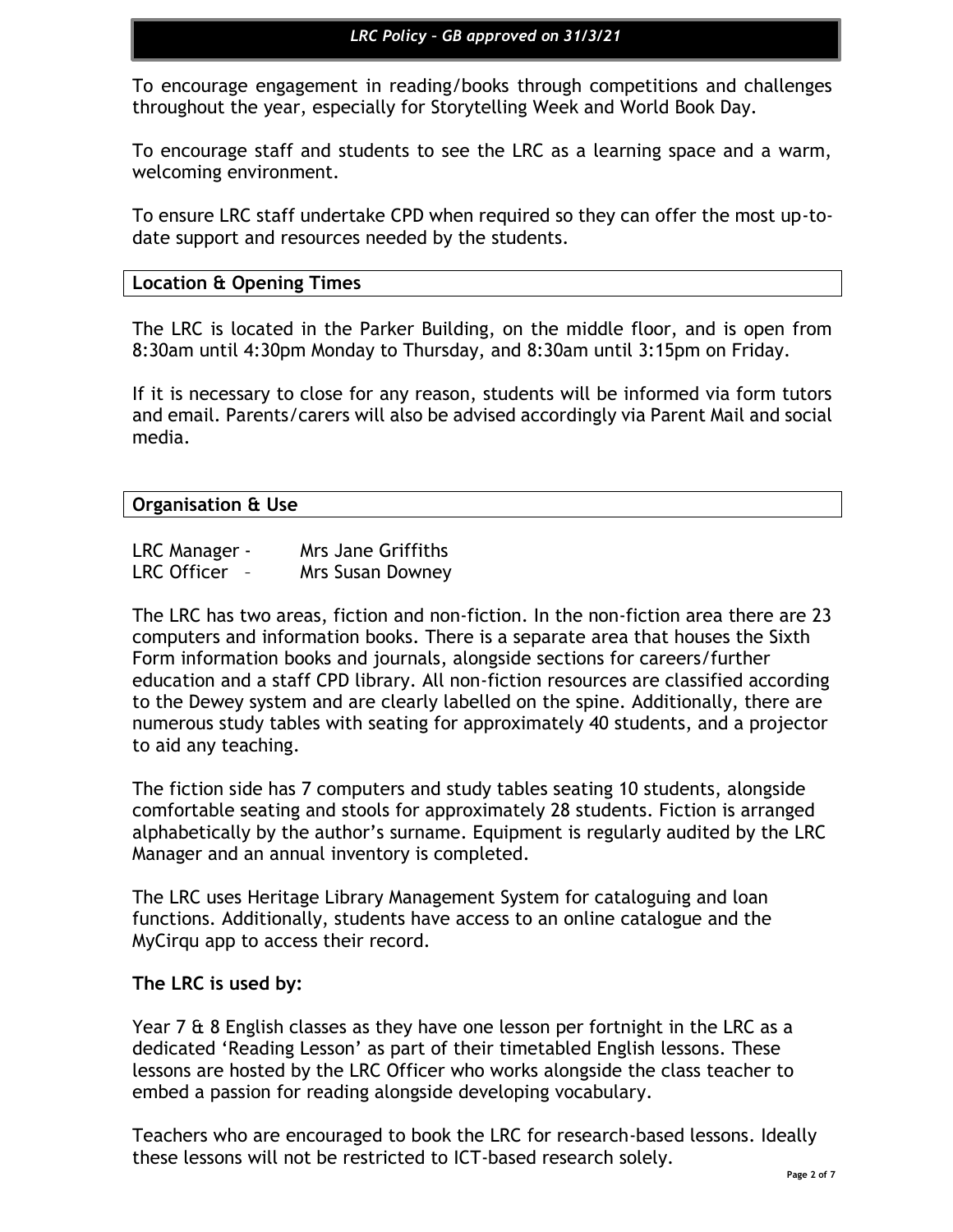To encourage engagement in reading/books through competitions and challenges throughout the year, especially for Storytelling Week and World Book Day.

To encourage staff and students to see the LRC as a learning space and a warm, welcoming environment.

To ensure LRC staff undertake CPD when required so they can offer the most up-todate support and resources needed by the students.

## **Location & Opening Times**

The LRC is located in the Parker Building, on the middle floor, and is open from 8:30am until 4:30pm Monday to Thursday, and 8:30am until 3:15pm on Friday.

If it is necessary to close for any reason, students will be informed via form tutors and email. Parents/carers will also be advised accordingly via Parent Mail and social media.

## **Organisation & Use**

| LRC Manager -      | Mrs Jane Griffiths |
|--------------------|--------------------|
| <b>LRC Officer</b> | Mrs Susan Downey   |

The LRC has two areas, fiction and non-fiction. In the non-fiction area there are 23 computers and information books. There is a separate area that houses the Sixth Form information books and journals, alongside sections for careers/further education and a staff CPD library. All non-fiction resources are classified according to the Dewey system and are clearly labelled on the spine. Additionally, there are numerous study tables with seating for approximately 40 students, and a projector to aid any teaching.

The fiction side has 7 computers and study tables seating 10 students, alongside comfortable seating and stools for approximately 28 students. Fiction is arranged alphabetically by the author's surname. Equipment is regularly audited by the LRC Manager and an annual inventory is completed.

The LRC uses Heritage Library Management System for cataloguing and loan functions. Additionally, students have access to an online catalogue and the MyCirqu app to access their record.

## **The LRC is used by:**

Year 7 & 8 English classes as they have one lesson per fortnight in the LRC as a dedicated 'Reading Lesson' as part of their timetabled English lessons. These lessons are hosted by the LRC Officer who works alongside the class teacher to embed a passion for reading alongside developing vocabulary.

Teachers who are encouraged to book the LRC for research-based lessons. Ideally these lessons will not be restricted to ICT-based research solely.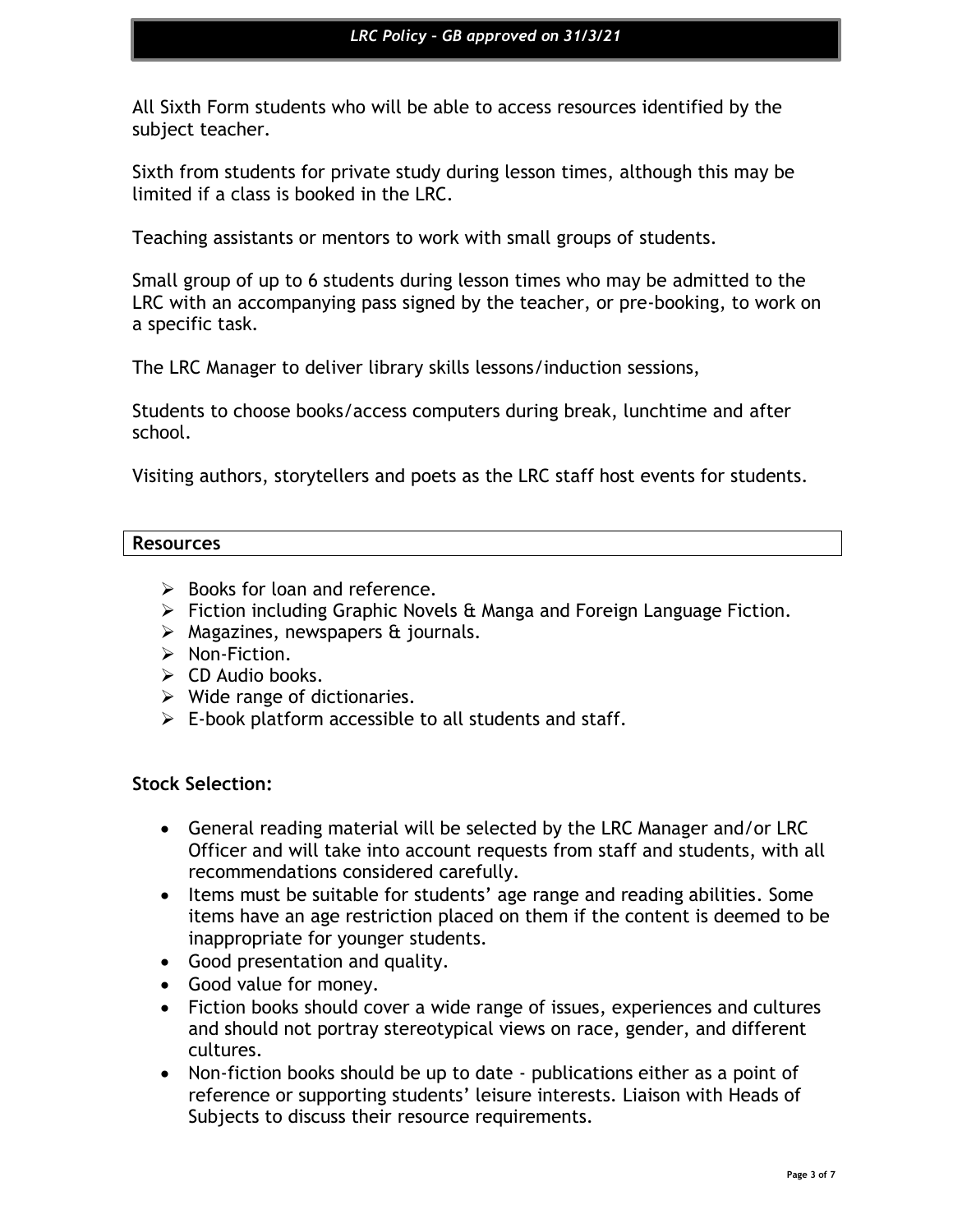All Sixth Form students who will be able to access resources identified by the subject teacher.

Sixth from students for private study during lesson times, although this may be limited if a class is booked in the LRC.

Teaching assistants or mentors to work with small groups of students.

Small group of up to 6 students during lesson times who may be admitted to the LRC with an accompanying pass signed by the teacher, or pre-booking, to work on a specific task.

The LRC Manager to deliver library skills lessons/induction sessions,

Students to choose books/access computers during break, lunchtime and after school.

Visiting authors, storytellers and poets as the LRC staff host events for students.

#### **Resources**

- $\triangleright$  Books for loan and reference.
- ➢ Fiction including Graphic Novels & Manga and Foreign Language Fiction.
- $\triangleright$  Magazines, newspapers & journals.
- ➢ Non-Fiction.
- $\triangleright$  CD Audio books.
- $\triangleright$  Wide range of dictionaries.
- $\triangleright$  E-book platform accessible to all students and staff.

#### **Stock Selection:**

- General reading material will be selected by the LRC Manager and/or LRC Officer and will take into account requests from staff and students, with all recommendations considered carefully.
- Items must be suitable for students' age range and reading abilities. Some items have an age restriction placed on them if the content is deemed to be inappropriate for younger students.
- Good presentation and quality.
- Good value for money.
- Fiction books should cover a wide range of issues, experiences and cultures and should not portray stereotypical views on race, gender, and different cultures.
- Non-fiction books should be up to date publications either as a point of reference or supporting students' leisure interests. Liaison with Heads of Subjects to discuss their resource requirements.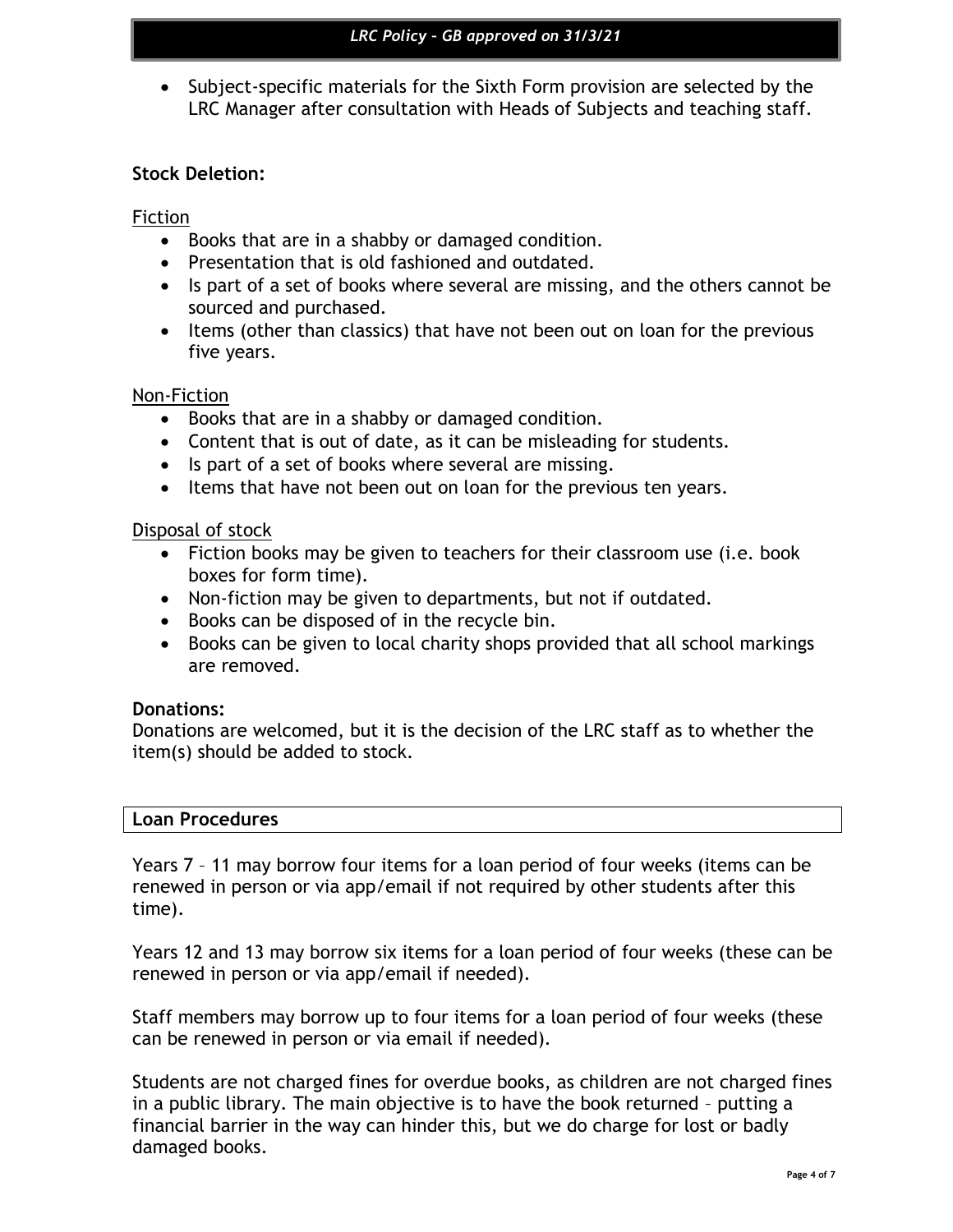• Subject-specific materials for the Sixth Form provision are selected by the LRC Manager after consultation with Heads of Subjects and teaching staff.

## **Stock Deletion:**

## Fiction

- Books that are in a shabby or damaged condition.
- Presentation that is old fashioned and outdated.
- Is part of a set of books where several are missing, and the others cannot be sourced and purchased.
- Items (other than classics) that have not been out on loan for the previous five years.

#### Non-Fiction

- Books that are in a shabby or damaged condition.
- Content that is out of date, as it can be misleading for students.
- Is part of a set of books where several are missing.
- Items that have not been out on loan for the previous ten years.

#### Disposal of stock

- Fiction books may be given to teachers for their classroom use (i.e. book boxes for form time).
- Non-fiction may be given to departments, but not if outdated.
- Books can be disposed of in the recycle bin.
- Books can be given to local charity shops provided that all school markings are removed.

#### **Donations:**

Donations are welcomed, but it is the decision of the LRC staff as to whether the item(s) should be added to stock.

#### **Loan Procedures**

Years 7 – 11 may borrow four items for a loan period of four weeks (items can be renewed in person or via app/email if not required by other students after this time).

Years 12 and 13 may borrow six items for a loan period of four weeks (these can be renewed in person or via app/email if needed).

Staff members may borrow up to four items for a loan period of four weeks (these can be renewed in person or via email if needed).

Students are not charged fines for overdue books, as children are not charged fines in a public library. The main objective is to have the book returned – putting a financial barrier in the way can hinder this, but we do charge for lost or badly damaged books.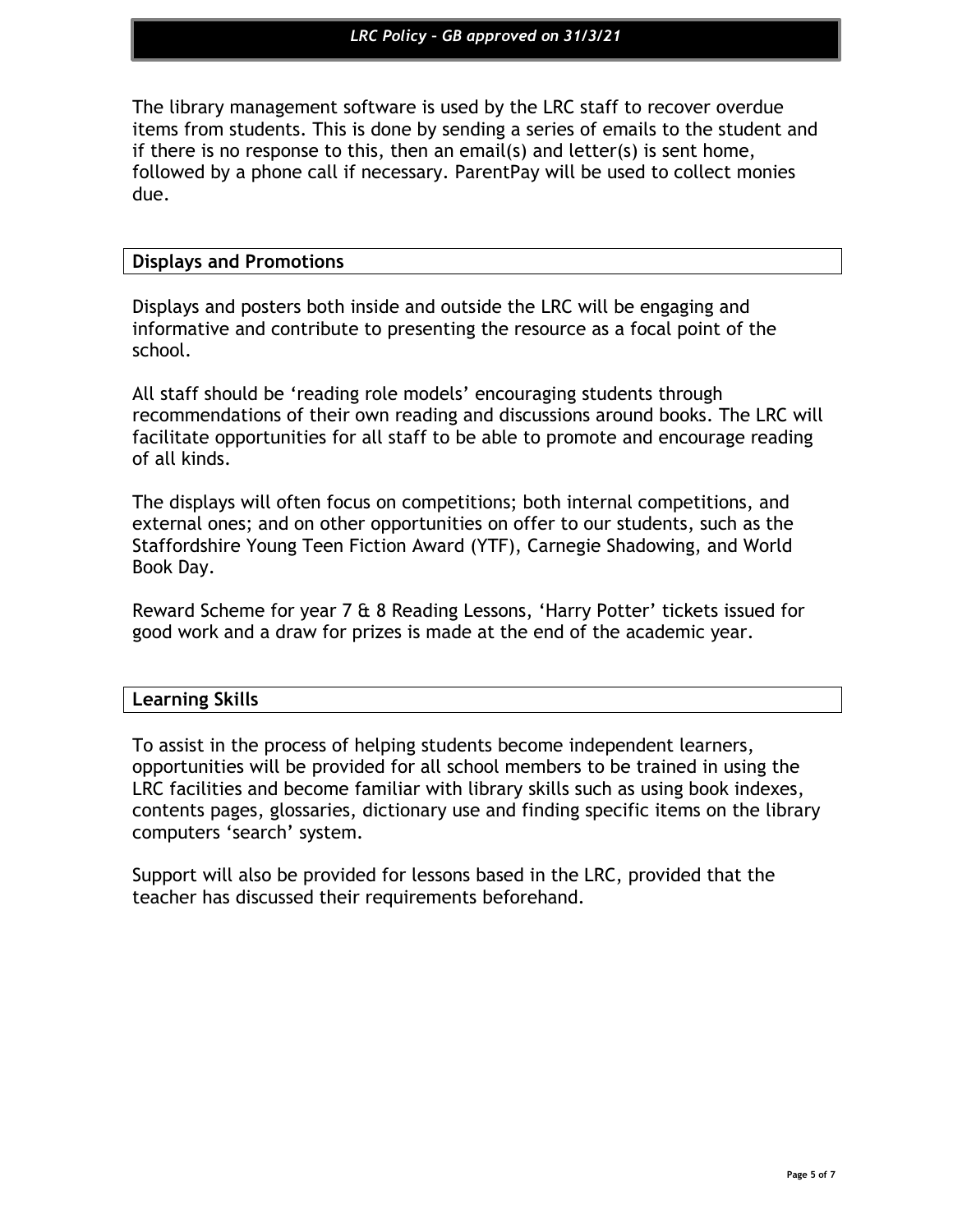The library management software is used by the LRC staff to recover overdue items from students. This is done by sending a series of emails to the student and if there is no response to this, then an email(s) and letter(s) is sent home, followed by a phone call if necessary. ParentPay will be used to collect monies due.

#### **Displays and Promotions**

Displays and posters both inside and outside the LRC will be engaging and informative and contribute to presenting the resource as a focal point of the school.

All staff should be 'reading role models' encouraging students through recommendations of their own reading and discussions around books. The LRC will facilitate opportunities for all staff to be able to promote and encourage reading of all kinds.

The displays will often focus on competitions; both internal competitions, and external ones; and on other opportunities on offer to our students, such as the Staffordshire Young Teen Fiction Award (YTF), Carnegie Shadowing, and World Book Day.

Reward Scheme for year 7 & 8 Reading Lessons, 'Harry Potter' tickets issued for good work and a draw for prizes is made at the end of the academic year.

#### **Learning Skills**

To assist in the process of helping students become independent learners, opportunities will be provided for all school members to be trained in using the LRC facilities and become familiar with library skills such as using book indexes, contents pages, glossaries, dictionary use and finding specific items on the library computers 'search' system.

Support will also be provided for lessons based in the LRC, provided that the teacher has discussed their requirements beforehand.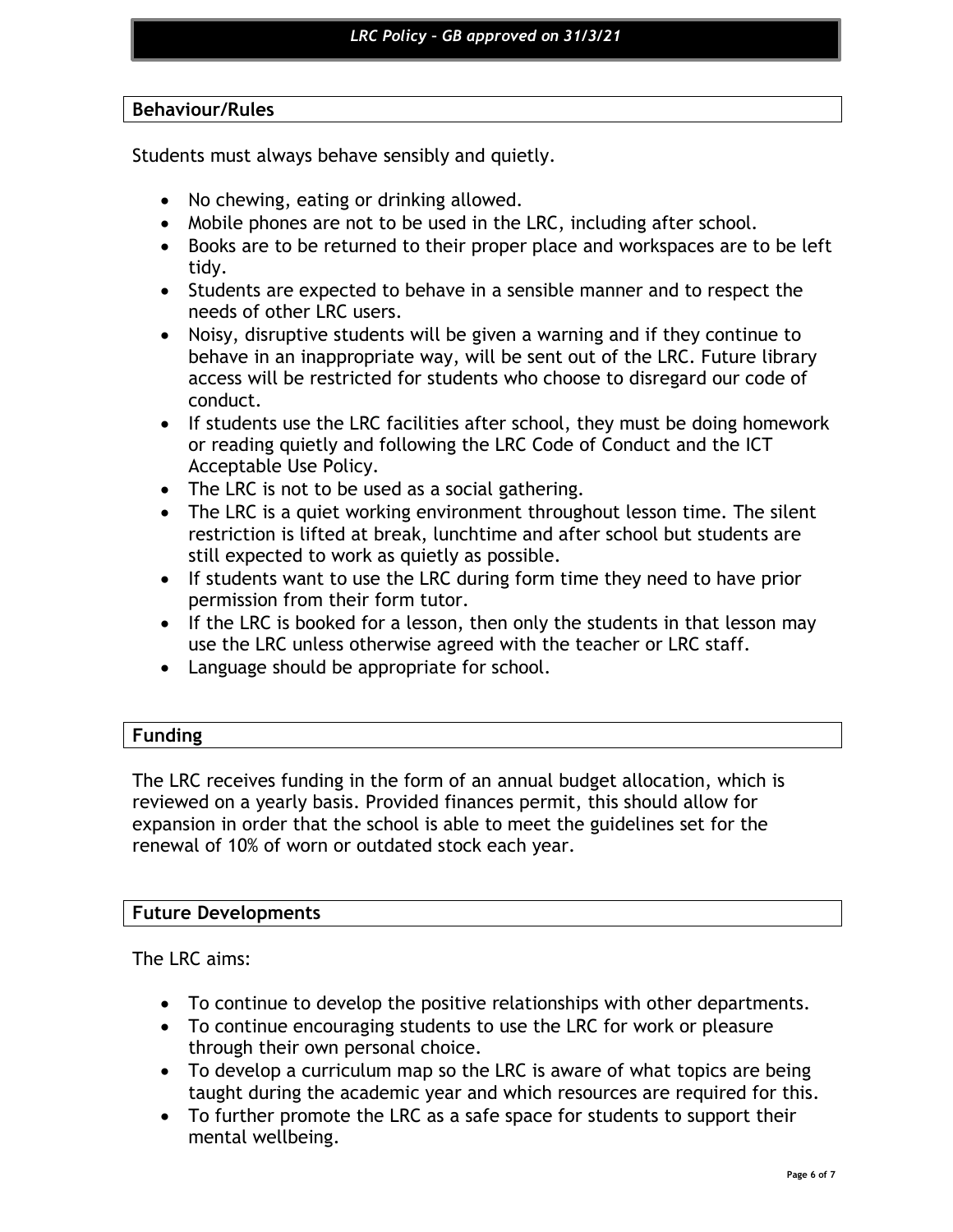## **Behaviour/Rules**

Students must always behave sensibly and quietly.

- No chewing, eating or drinking allowed.
- Mobile phones are not to be used in the LRC, including after school.
- Books are to be returned to their proper place and workspaces are to be left tidy.
- Students are expected to behave in a sensible manner and to respect the needs of other LRC users.
- Noisy, disruptive students will be given a warning and if they continue to behave in an inappropriate way, will be sent out of the LRC. Future library access will be restricted for students who choose to disregard our code of conduct.
- If students use the LRC facilities after school, they must be doing homework or reading quietly and following the LRC Code of Conduct and the ICT Acceptable Use Policy.
- The LRC is not to be used as a social gathering.
- The LRC is a quiet working environment throughout lesson time. The silent restriction is lifted at break, lunchtime and after school but students are still expected to work as quietly as possible.
- If students want to use the LRC during form time they need to have prior permission from their form tutor.
- If the LRC is booked for a lesson, then only the students in that lesson may use the LRC unless otherwise agreed with the teacher or LRC staff.
- Language should be appropriate for school.

## **Funding**

The LRC receives funding in the form of an annual budget allocation, which is reviewed on a yearly basis. Provided finances permit, this should allow for expansion in order that the school is able to meet the guidelines set for the renewal of 10% of worn or outdated stock each year.

## **Future Developments**

The LRC aims:

- To continue to develop the positive relationships with other departments.
- To continue encouraging students to use the LRC for work or pleasure through their own personal choice.
- To develop a curriculum map so the LRC is aware of what topics are being taught during the academic year and which resources are required for this.
- To further promote the LRC as a safe space for students to support their mental wellbeing.